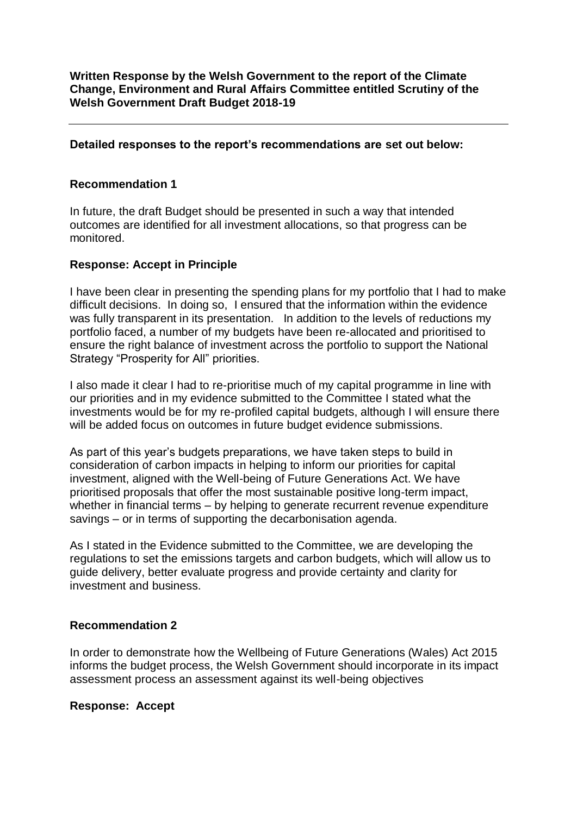**Written Response by the Welsh Government to the report of the Climate Change, Environment and Rural Affairs Committee entitled Scrutiny of the Welsh Government Draft Budget 2018-19**

#### **Detailed responses to the report's recommendations are set out below:**

#### **Recommendation 1**

In future, the draft Budget should be presented in such a way that intended outcomes are identified for all investment allocations, so that progress can be monitored.

#### **Response: Accept in Principle**

I have been clear in presenting the spending plans for my portfolio that I had to make difficult decisions. In doing so, I ensured that the information within the evidence was fully transparent in its presentation. In addition to the levels of reductions my portfolio faced, a number of my budgets have been re-allocated and prioritised to ensure the right balance of investment across the portfolio to support the National Strategy "Prosperity for All" priorities.

I also made it clear I had to re-prioritise much of my capital programme in line with our priorities and in my evidence submitted to the Committee I stated what the investments would be for my re-profiled capital budgets, although I will ensure there will be added focus on outcomes in future budget evidence submissions.

As part of this year's budgets preparations, we have taken steps to build in consideration of carbon impacts in helping to inform our priorities for capital investment, aligned with the Well-being of Future Generations Act. We have prioritised proposals that offer the most sustainable positive long-term impact, whether in financial terms – by helping to generate recurrent revenue expenditure savings – or in terms of supporting the decarbonisation agenda.

As I stated in the Evidence submitted to the Committee, we are developing the regulations to set the emissions targets and carbon budgets, which will allow us to guide delivery, better evaluate progress and provide certainty and clarity for investment and business.

#### **Recommendation 2**

In order to demonstrate how the Wellbeing of Future Generations (Wales) Act 2015 informs the budget process, the Welsh Government should incorporate in its impact assessment process an assessment against its well-being objectives

#### **Response: Accept**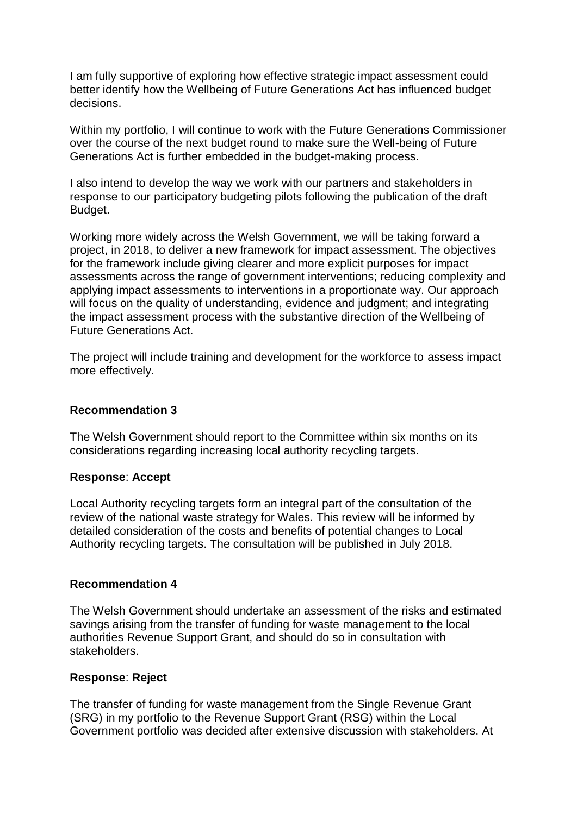I am fully supportive of exploring how effective strategic impact assessment could better identify how the Wellbeing of Future Generations Act has influenced budget decisions.

Within my portfolio, I will continue to work with the Future Generations Commissioner over the course of the next budget round to make sure the Well-being of Future Generations Act is further embedded in the budget-making process.

I also intend to develop the way we work with our partners and stakeholders in response to our participatory budgeting pilots following the publication of the draft Budget.

Working more widely across the Welsh Government, we will be taking forward a project, in 2018, to deliver a new framework for impact assessment. The objectives for the framework include giving clearer and more explicit purposes for impact assessments across the range of government interventions; reducing complexity and applying impact assessments to interventions in a proportionate way. Our approach will focus on the quality of understanding, evidence and judgment; and integrating the impact assessment process with the substantive direction of the Wellbeing of Future Generations Act.

The project will include training and development for the workforce to assess impact more effectively.

### **Recommendation 3**

The Welsh Government should report to the Committee within six months on its considerations regarding increasing local authority recycling targets.

### **Response**: **Accept**

Local Authority recycling targets form an integral part of the consultation of the review of the national waste strategy for Wales. This review will be informed by detailed consideration of the costs and benefits of potential changes to Local Authority recycling targets. The consultation will be published in July 2018.

### **Recommendation 4**

The Welsh Government should undertake an assessment of the risks and estimated savings arising from the transfer of funding for waste management to the local authorities Revenue Support Grant, and should do so in consultation with stakeholders.

### **Response**: **Reject**

The transfer of funding for waste management from the Single Revenue Grant (SRG) in my portfolio to the Revenue Support Grant (RSG) within the Local Government portfolio was decided after extensive discussion with stakeholders. At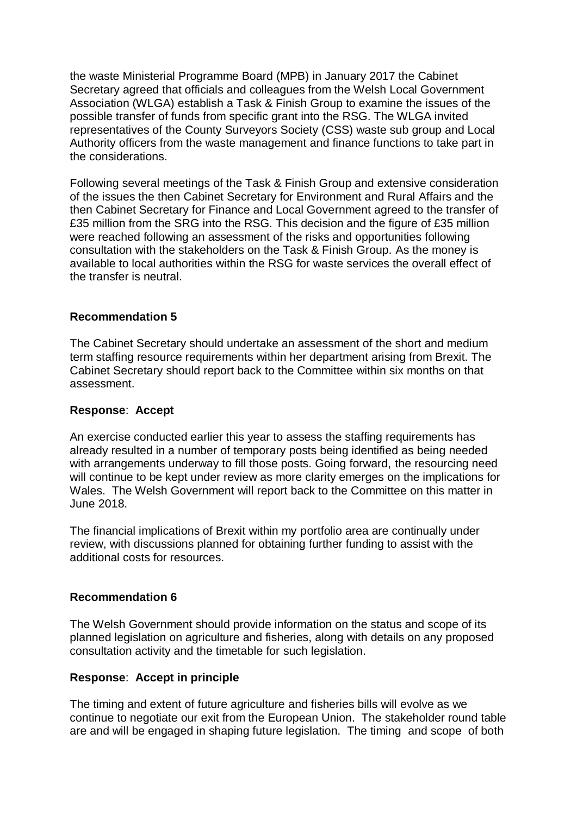the waste Ministerial Programme Board (MPB) in January 2017 the Cabinet Secretary agreed that officials and colleagues from the Welsh Local Government Association (WLGA) establish a Task & Finish Group to examine the issues of the possible transfer of funds from specific grant into the RSG. The WLGA invited representatives of the County Surveyors Society (CSS) waste sub group and Local Authority officers from the waste management and finance functions to take part in the considerations.

Following several meetings of the Task & Finish Group and extensive consideration of the issues the then Cabinet Secretary for Environment and Rural Affairs and the then Cabinet Secretary for Finance and Local Government agreed to the transfer of £35 million from the SRG into the RSG. This decision and the figure of £35 million were reached following an assessment of the risks and opportunities following consultation with the stakeholders on the Task & Finish Group. As the money is available to local authorities within the RSG for waste services the overall effect of the transfer is neutral.

# **Recommendation 5**

The Cabinet Secretary should undertake an assessment of the short and medium term staffing resource requirements within her department arising from Brexit. The Cabinet Secretary should report back to the Committee within six months on that assessment.

### **Response**: **Accept**

An exercise conducted earlier this year to assess the staffing requirements has already resulted in a number of temporary posts being identified as being needed with arrangements underway to fill those posts. Going forward, the resourcing need will continue to be kept under review as more clarity emerges on the implications for Wales. The Welsh Government will report back to the Committee on this matter in June 2018.

The financial implications of Brexit within my portfolio area are continually under review, with discussions planned for obtaining further funding to assist with the additional costs for resources.

# **Recommendation 6**

The Welsh Government should provide information on the status and scope of its planned legislation on agriculture and fisheries, along with details on any proposed consultation activity and the timetable for such legislation.

### **Response**: **Accept in principle**

The timing and extent of future agriculture and fisheries bills will evolve as we continue to negotiate our exit from the European Union. The stakeholder round table are and will be engaged in shaping future legislation. The timing and scope of both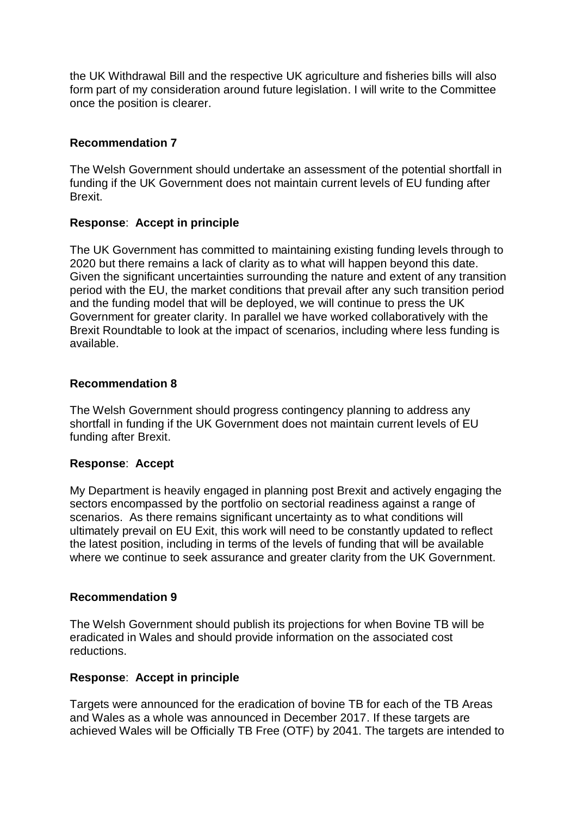the UK Withdrawal Bill and the respective UK agriculture and fisheries bills will also form part of my consideration around future legislation. I will write to the Committee once the position is clearer.

# **Recommendation 7**

The Welsh Government should undertake an assessment of the potential shortfall in funding if the UK Government does not maintain current levels of EU funding after Brexit.

# **Response**: **Accept in principle**

The UK Government has committed to maintaining existing funding levels through to 2020 but there remains a lack of clarity as to what will happen beyond this date. Given the significant uncertainties surrounding the nature and extent of any transition period with the EU, the market conditions that prevail after any such transition period and the funding model that will be deployed, we will continue to press the UK Government for greater clarity. In parallel we have worked collaboratively with the Brexit Roundtable to look at the impact of scenarios, including where less funding is available.

### **Recommendation 8**

The Welsh Government should progress contingency planning to address any shortfall in funding if the UK Government does not maintain current levels of EU funding after Brexit.

### **Response**: **Accept**

My Department is heavily engaged in planning post Brexit and actively engaging the sectors encompassed by the portfolio on sectorial readiness against a range of scenarios. As there remains significant uncertainty as to what conditions will ultimately prevail on EU Exit, this work will need to be constantly updated to reflect the latest position, including in terms of the levels of funding that will be available where we continue to seek assurance and greater clarity from the UK Government.

### **Recommendation 9**

The Welsh Government should publish its projections for when Bovine TB will be eradicated in Wales and should provide information on the associated cost reductions.

### **Response**: **Accept in principle**

Targets were announced for the eradication of bovine TB for each of the TB Areas and Wales as a whole was announced in December 2017. If these targets are achieved Wales will be Officially TB Free (OTF) by 2041. The targets are intended to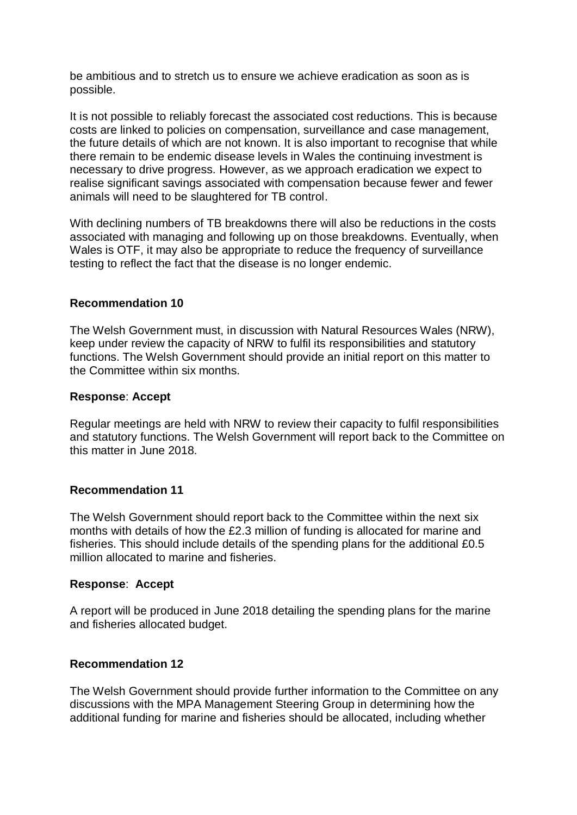be ambitious and to stretch us to ensure we achieve eradication as soon as is possible.

It is not possible to reliably forecast the associated cost reductions. This is because costs are linked to policies on compensation, surveillance and case management, the future details of which are not known. It is also important to recognise that while there remain to be endemic disease levels in Wales the continuing investment is necessary to drive progress. However, as we approach eradication we expect to realise significant savings associated with compensation because fewer and fewer animals will need to be slaughtered for TB control.

With declining numbers of TB breakdowns there will also be reductions in the costs associated with managing and following up on those breakdowns. Eventually, when Wales is OTF, it may also be appropriate to reduce the frequency of surveillance testing to reflect the fact that the disease is no longer endemic.

### **Recommendation 10**

The Welsh Government must, in discussion with Natural Resources Wales (NRW), keep under review the capacity of NRW to fulfil its responsibilities and statutory functions. The Welsh Government should provide an initial report on this matter to the Committee within six months.

#### **Response**: **Accept**

Regular meetings are held with NRW to review their capacity to fulfil responsibilities and statutory functions. The Welsh Government will report back to the Committee on this matter in June 2018.

### **Recommendation 11**

The Welsh Government should report back to the Committee within the next six months with details of how the £2.3 million of funding is allocated for marine and fisheries. This should include details of the spending plans for the additional £0.5 million allocated to marine and fisheries.

#### **Response**: **Accept**

A report will be produced in June 2018 detailing the spending plans for the marine and fisheries allocated budget.

### **Recommendation 12**

The Welsh Government should provide further information to the Committee on any discussions with the MPA Management Steering Group in determining how the additional funding for marine and fisheries should be allocated, including whether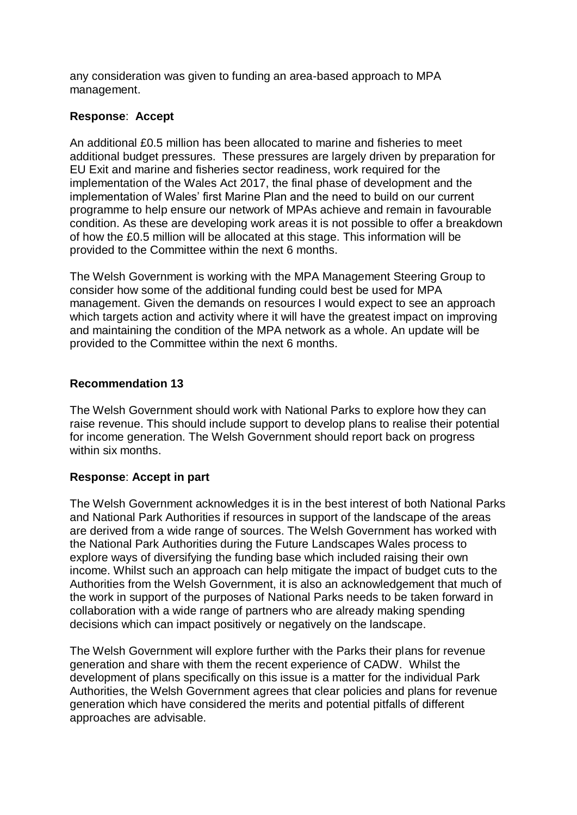any consideration was given to funding an area-based approach to MPA management.

# **Response**: **Accept**

An additional £0.5 million has been allocated to marine and fisheries to meet additional budget pressures. These pressures are largely driven by preparation for EU Exit and marine and fisheries sector readiness, work required for the implementation of the Wales Act 2017, the final phase of development and the implementation of Wales' first Marine Plan and the need to build on our current programme to help ensure our network of MPAs achieve and remain in favourable condition. As these are developing work areas it is not possible to offer a breakdown of how the £0.5 million will be allocated at this stage. This information will be provided to the Committee within the next 6 months.

The Welsh Government is working with the MPA Management Steering Group to consider how some of the additional funding could best be used for MPA management. Given the demands on resources I would expect to see an approach which targets action and activity where it will have the greatest impact on improving and maintaining the condition of the MPA network as a whole. An update will be provided to the Committee within the next 6 months.

### **Recommendation 13**

The Welsh Government should work with National Parks to explore how they can raise revenue. This should include support to develop plans to realise their potential for income generation. The Welsh Government should report back on progress within six months.

# **Response**: **Accept in part**

The Welsh Government acknowledges it is in the best interest of both National Parks and National Park Authorities if resources in support of the landscape of the areas are derived from a wide range of sources. The Welsh Government has worked with the National Park Authorities during the Future Landscapes Wales process to explore ways of diversifying the funding base which included raising their own income. Whilst such an approach can help mitigate the impact of budget cuts to the Authorities from the Welsh Government, it is also an acknowledgement that much of the work in support of the purposes of National Parks needs to be taken forward in collaboration with a wide range of partners who are already making spending decisions which can impact positively or negatively on the landscape.

The Welsh Government will explore further with the Parks their plans for revenue generation and share with them the recent experience of CADW. Whilst the development of plans specifically on this issue is a matter for the individual Park Authorities, the Welsh Government agrees that clear policies and plans for revenue generation which have considered the merits and potential pitfalls of different approaches are advisable.